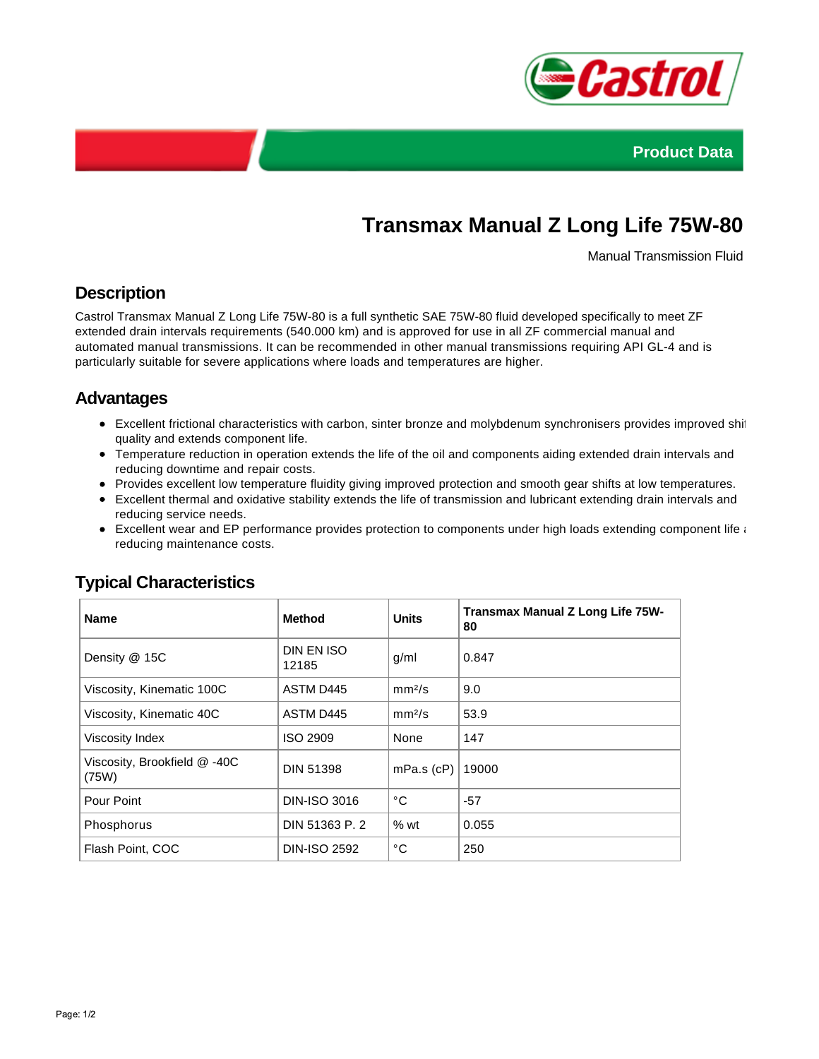



# **Transmax Manual Z Long Life 75W-80**

Manual Transmission Fluid

## **Description**

Castrol Transmax Manual Z Long Life 75W-80 is a full synthetic SAE 75W-80 fluid developed specifically to meet ZF extended drain intervals requirements (540.000 km) and is approved for use in all ZF commercial manual and automated manual transmissions. It can be recommended in other manual transmissions requiring API GL-4 and is particularly suitable for severe applications where loads and temperatures are higher.

## **Advantages**

- Excellent frictional characteristics with carbon, sinter bronze and molybdenum synchronisers provides improved shift quality and extends component life.
- Temperature reduction in operation extends the life of the oil and components aiding extended drain intervals and reducing downtime and repair costs.
- Provides excellent low temperature fluidity giving improved protection and smooth gear shifts at low temperatures.
- Excellent thermal and oxidative stability extends the life of transmission and lubricant extending drain intervals and reducing service needs.
- Excellent wear and EP performance provides protection to components under high loads extending component life and reducing maintenance costs.

| <b>Name</b>                           | <b>Method</b>       | <b>Units</b>       | Transmax Manual Z Long Life 75W-<br>80 |
|---------------------------------------|---------------------|--------------------|----------------------------------------|
| Density @ 15C                         | DIN EN ISO<br>12185 | g/ml               | 0.847                                  |
| Viscosity, Kinematic 100C             | ASTM D445           | mm <sup>2</sup> /s | 9.0                                    |
| Viscosity, Kinematic 40C              | ASTM D445           | mm <sup>2</sup> /s | 53.9                                   |
| Viscosity Index                       | ISO 2909            | None               | 147                                    |
| Viscosity, Brookfield @ -40C<br>(75W) | <b>DIN 51398</b>    | $mPa.s$ (cP)       | 19000                                  |
| Pour Point                            | <b>DIN-ISO 3016</b> | °С                 | $-57$                                  |
| Phosphorus                            | DIN 51363 P. 2      | %wt                | 0.055                                  |
| Flash Point, COC                      | <b>DIN-ISO 2592</b> | °C                 | 250                                    |

## **Typical Characteristics**